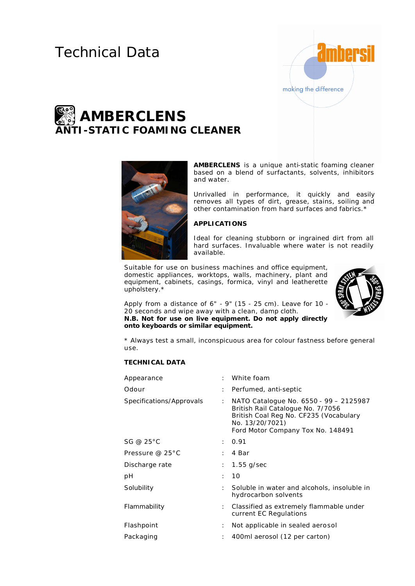# Technical Data



# **AMBERCLENS ANTI-STATIC FOAMING CLEANER**



**AMBERCLENS** is a unique anti-static foaming cleaner based on a blend of surfactants, solvents, inhibitors and water.

Unrivalled in performance, it quickly and easily removes all types of dirt, grease, stains, soiling and other contamination from hard surfaces and fabrics.\*

## **APPLICATIONS**

Ideal for cleaning stubborn or ingrained dirt from all hard surfaces. Invaluable where water is not readily available.

Suitable for use on business machines and office equipment, domestic appliances, worktops, walls, machinery, plant and equipment, cabinets, casings, formica, vinyl and leatherette upholstery.\*



Apply from a distance of 6" - 9" (15 - 25 cm). Leave for 10 - 20 seconds and wipe away with a clean, damp cloth. **N.B. Not for use on live equipment. Do not apply directly onto keyboards or similar equipment.**

\* Always test a small, inconspicuous area for colour fastness before general use.

### **TECHNICAL DATA**

| Appearance                | $\mathcal{L}$ | White foam                                                                                                                                                                    |
|---------------------------|---------------|-------------------------------------------------------------------------------------------------------------------------------------------------------------------------------|
| Odour                     | ÷             | Perfumed, anti-septic                                                                                                                                                         |
| Specifications/Approvals  | ÷             | NATO Catalogue No. 6550 - 99 - 2125987<br>British Rail Catalogue No. 7/7056<br>British Coal Reg No. CF235 (Vocabulary<br>No. 13/20/7021)<br>Ford Motor Company Tox No. 148491 |
| SG @ 25°C                 | ÷             | 0.91                                                                                                                                                                          |
| Pressure @ $25^{\circ}$ C | ٠             | 4 Bar                                                                                                                                                                         |
| Discharge rate            | ÷.            | $1.55$ g/sec                                                                                                                                                                  |
| рH                        | ÷             | 10                                                                                                                                                                            |
| Solubility                | ÷             | Soluble in water and alcohols, insoluble in<br>hydrocarbon solvents                                                                                                           |
| Flammability              | ÷.            | Classified as extremely flammable under<br>current EC Regulations                                                                                                             |
| Flashpoint                | ÷             | Not applicable in sealed aerosol                                                                                                                                              |
| Packaging                 | ÷             | 400ml aerosol (12 per carton)                                                                                                                                                 |